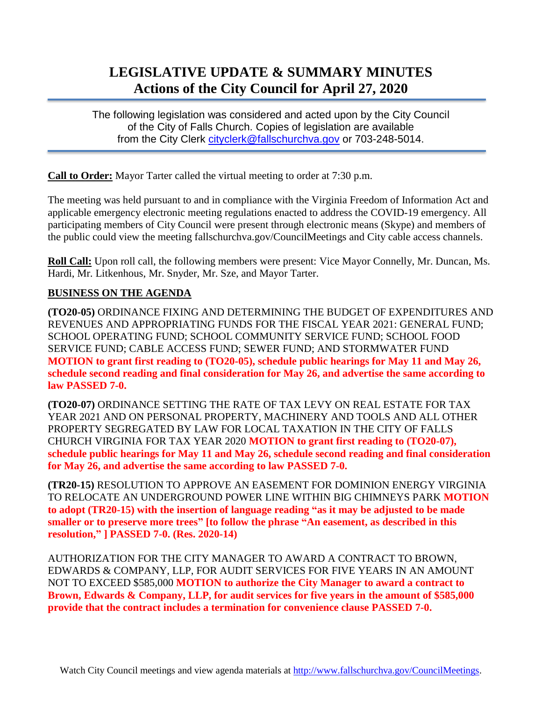## **LEGISLATIVE UPDATE & SUMMARY MINUTES Actions of the City Council for April 27, 2020**

The following legislation was considered and acted upon by the City Council of the City of Falls Church. Copies of legislation are available from the City Clerk [cityclerk@fallschurchva.gov](mailto:cityclerk@fallschurchva.gov) or 703-248-5014.

**Call to Order:** Mayor Tarter called the virtual meeting to order at 7:30 p.m.

The meeting was held pursuant to and in compliance with the Virginia Freedom of Information Act and applicable emergency electronic meeting regulations enacted to address the COVID-19 emergency. All participating members of City Council were present through electronic means (Skype) and members of the public could view the meeting fallschurchva.gov/CouncilMeetings and City cable access channels.

**Roll Call:** Upon roll call, the following members were present: Vice Mayor Connelly, Mr. Duncan, Ms. Hardi, Mr. Litkenhous, Mr. Snyder, Mr. Sze, and Mayor Tarter.

## **BUSINESS ON THE AGENDA**

**(TO20-05)** ORDINANCE FIXING AND DETERMINING THE BUDGET OF EXPENDITURES AND REVENUES AND APPROPRIATING FUNDS FOR THE FISCAL YEAR 2021: GENERAL FUND; SCHOOL OPERATING FUND; SCHOOL COMMUNITY SERVICE FUND; SCHOOL FOOD SERVICE FUND; CABLE ACCESS FUND; SEWER FUND; AND STORMWATER FUND **MOTION to grant first reading to (TO20-05), schedule public hearings for May 11 and May 26, schedule second reading and final consideration for May 26, and advertise the same according to law PASSED 7-0.**

**(TO20-07)** ORDINANCE SETTING THE RATE OF TAX LEVY ON REAL ESTATE FOR TAX YEAR 2021 AND ON PERSONAL PROPERTY, MACHINERY AND TOOLS AND ALL OTHER PROPERTY SEGREGATED BY LAW FOR LOCAL TAXATION IN THE CITY OF FALLS CHURCH VIRGINIA FOR TAX YEAR 2020 **MOTION to grant first reading to (TO20-07), schedule public hearings for May 11 and May 26, schedule second reading and final consideration for May 26, and advertise the same according to law PASSED 7-0.**

**(TR20-15)** RESOLUTION TO APPROVE AN EASEMENT FOR DOMINION ENERGY VIRGINIA TO RELOCATE AN UNDERGROUND POWER LINE WITHIN BIG CHIMNEYS PARK **MOTION to adopt (TR20-15) with the insertion of language reading "as it may be adjusted to be made smaller or to preserve more trees" [to follow the phrase "An easement, as described in this resolution," ] PASSED 7-0. (Res. 2020-14)**

AUTHORIZATION FOR THE CITY MANAGER TO AWARD A CONTRACT TO BROWN, EDWARDS & COMPANY, LLP, FOR AUDIT SERVICES FOR FIVE YEARS IN AN AMOUNT NOT TO EXCEED \$585,000 **MOTION to authorize the City Manager to award a contract to Brown, Edwards & Company, LLP, for audit services for five years in the amount of \$585,000 provide that the contract includes a termination for convenience clause PASSED 7-0.**